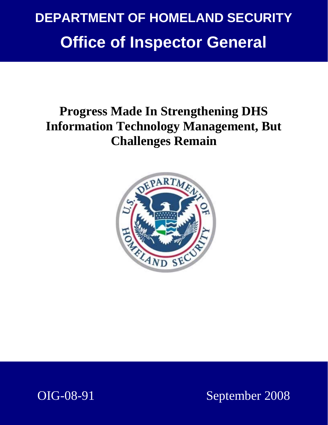## **DEPARTMENT OF HOMELAND SECURITY Office of Inspector General**

## **Progress Made In Strengthening DHS Information Technology Management, But Challenges Remain**



OIG-08-91 September 2008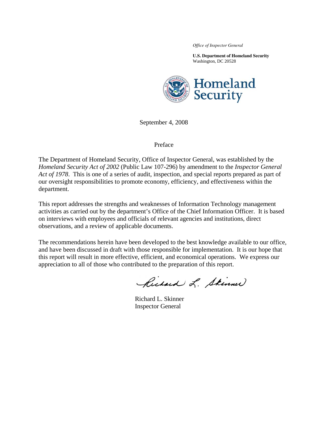*Office of Inspector General* 

**U.S. Department of Homeland Security**  Washington, DC 20528



September 4, 2008

#### Preface

The Department of Homeland Security, Office of Inspector General, was established by the *Homeland Security Act of 2002* (Public Law 107-296) by amendment to the *Inspector General Act of 1978*. This is one of a series of audit, inspection, and special reports prepared as part of our oversight responsibilities to promote economy, efficiency, and effectiveness within the department.

This report addresses the strengths and weaknesses of Information Technology management activities as carried out by the department's Office of the Chief Information Officer. It is based on interviews with employees and officials of relevant agencies and institutions, direct observations, and a review of applicable documents.

The recommendations herein have been developed to the best knowledge available to our office, and have been discussed in draft with those responsible for implementation. It is our hope that this report will result in more effective, efficient, and economical operations. We express our appreciation to all of those who contributed to the preparation of this report.

Richard L. Skimmer

Richard L. Skinner Inspector General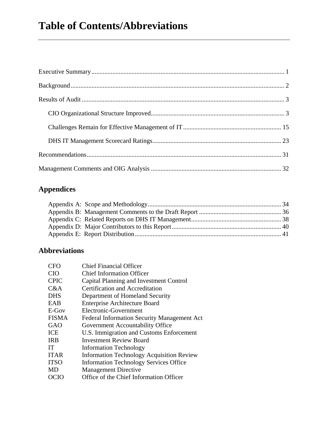### **Appendices**

#### **Abbreviations**

| <b>CFO</b>   | <b>Chief Financial Officer</b>                   |
|--------------|--------------------------------------------------|
| <b>CIO</b>   | <b>Chief Information Officer</b>                 |
| <b>CPIC</b>  | Capital Planning and Investment Control          |
| C&A          | Certification and Accreditation                  |
| <b>DHS</b>   | Department of Homeland Security                  |
| EAB          | <b>Enterprise Architecture Board</b>             |
| E-Gov        | Electronic-Government                            |
| <b>FISMA</b> | Federal Information Security Management Act      |
| GAO          | Government Accountability Office                 |
| ICE          | U.S. Immigration and Customs Enforcement         |
| <b>IRB</b>   | <b>Investment Review Board</b>                   |
| <b>IT</b>    | <b>Information Technology</b>                    |
| <b>ITAR</b>  | <b>Information Technology Acquisition Review</b> |
| <b>ITSO</b>  | <b>Information Technology Services Office</b>    |
| MD           | <b>Management Directive</b>                      |
| OCIO         | Office of the Chief Information Officer          |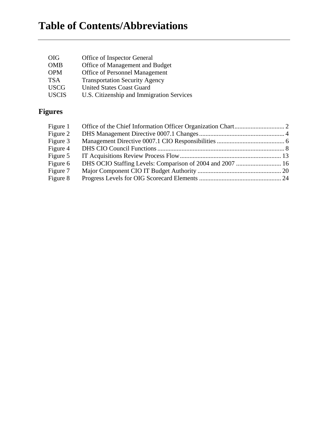## **Table of Contents/Abbreviations**

| <b>OIG</b>   | Office of Inspector General               |
|--------------|-------------------------------------------|
| <b>OMB</b>   | Office of Management and Budget           |
| <b>OPM</b>   | <b>Office of Personnel Management</b>     |
| <b>TSA</b>   | <b>Transportation Security Agency</b>     |
| <b>USCG</b>  | <b>United States Coast Guard</b>          |
| <b>USCIS</b> | U.S. Citizenship and Immigration Services |

## **Figures**

| Figure 1 |  |
|----------|--|
| Figure 2 |  |
| Figure 3 |  |
| Figure 4 |  |
| Figure 5 |  |
| Figure 6 |  |
| Figure 7 |  |
| Figure 8 |  |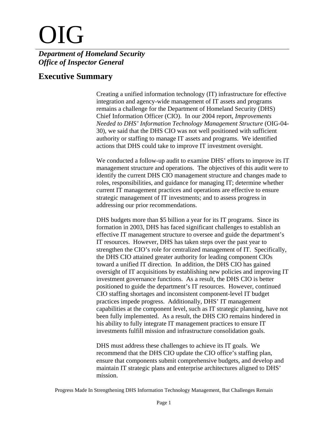# OIG

#### *Department of Homeland Security Office of Inspector General*

#### **Executive Summary**

Creating a unified information technology (IT) infrastructure for effective integration and agency-wide management of IT assets and programs remains a challenge for the Department of Homeland Security (DHS) Chief Information Officer (CIO). In our 2004 report, *Improvements Needed to DHS' Information Technology Management Structure* (OIG-04- 30), we said that the DHS CIO was not well positioned with sufficient authority or staffing to manage IT assets and programs. We identified actions that DHS could take to improve IT investment oversight.

We conducted a follow-up audit to examine DHS' efforts to improve its IT management structure and operations. The objectives of this audit were to identify the current DHS CIO management structure and changes made to roles, responsibilities, and guidance for managing IT; determine whether current IT management practices and operations are effective to ensure strategic management of IT investments; and to assess progress in addressing our prior recommendations.

DHS budgets more than \$5 billion a year for its IT programs. Since its formation in 2003, DHS has faced significant challenges to establish an effective IT management structure to oversee and guide the department's IT resources. However, DHS has taken steps over the past year to strengthen the CIO's role for centralized management of IT. Specifically, the DHS CIO attained greater authority for leading component CIOs toward a unified IT direction. In addition, the DHS CIO has gained oversight of IT acquisitions by establishing new policies and improving IT investment governance functions. As a result, the DHS CIO is better positioned to guide the department's IT resources. However, continued CIO staffing shortages and inconsistent component-level IT budget practices impede progress. Additionally, DHS' IT management capabilities at the component level, such as IT strategic planning, have not been fully implemented. As a result, the DHS CIO remains hindered in his ability to fully integrate IT management practices to ensure IT investments fulfill mission and infrastructure consolidation goals.

DHS must address these challenges to achieve its IT goals. We recommend that the DHS CIO update the CIO office's staffing plan, ensure that components submit comprehensive budgets, and develop and maintain IT strategic plans and enterprise architectures aligned to DHS' mission.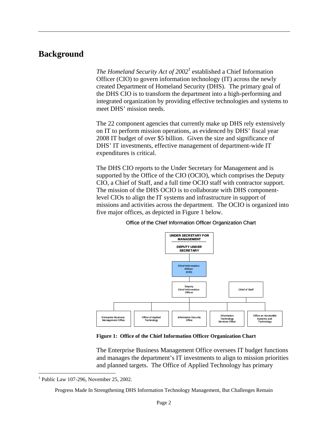#### **Background**

The Homeland Security Act of 2002<sup>1</sup> established a Chief Information Officer (CIO) to govern information technology (IT) across the newly created Department of Homeland Security (DHS). The primary goal of the DHS CIO is to transform the department into a high-performing and integrated organization by providing effective technologies and systems to meet DHS' mission needs.

The 22 component agencies that currently make up DHS rely extensively on IT to perform mission operations, as evidenced by DHS' fiscal year 2008 IT budget of over \$5 billion. Given the size and significance of DHS' IT investments, effective management of department-wide IT expenditures is critical.

The DHS CIO reports to the Under Secretary for Management and is supported by the Office of the CIO (OCIO), which comprises the Deputy CIO, a Chief of Staff, and a full time OCIO staff with contractor support. The mission of the DHS OCIO is to collaborate with DHS componentlevel CIOs to align the IT systems and infrastructure in support of missions and activities across the department. The OCIO is organized into five major offices, as depicted in Figure 1 below.



Office of the Chief Information Officer Organization Chart

**Figure 1: Office of the Chief Information Officer Organization Chart** 

The Enterprise Business Management Office oversees IT budget functions and manages the department's IT investments to align to mission priorities and planned targets. The Office of Applied Technology has primary

<sup>&</sup>lt;sup>1</sup> Public Law 107-296, November 25, 2002.

Progress Made In Strengthening DHS Information Technology Management, But Challenges Remain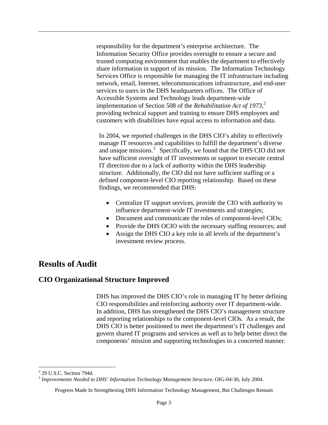<span id="page-6-0"></span>responsibility for the department's enterprise architecture. The Information Security Office provides oversight to ensure a secure and trusted computing environment that enables the department to effectively share information in support of its mission. The Information Technology Services Office is responsible for managing the IT infrastructure including network, email, Internet, telecommunications infrastructure, and end-user services to users in the DHS headquarters offices. The Office of Accessible Systems and Technology leads department-wide implementation of Section 508 of the *Rehabilitation Act of 1973*, 2 providing technical support and training to ensure DHS employees and customers with disabilities have equal access to information and data.

In 2004, we reported challenges in the DHS CIO's ability to effectively manage IT resources and capabilities to fulfill the department's diverse and unique missions.<sup>3</sup> Specifically, we found that the DHS CIO did not have sufficient oversight of IT investments or support to execute central IT direction due to a lack of authority within the DHS leadership structure. Additionally, the CIO did not have sufficient staffing or a defined component-level CIO reporting relationship. Based on these findings, we recommended that DHS:

- Centralize IT support services, provide the CIO with authority to influence department-wide IT investments and strategies;
- Document and communicate the roles of component-level CIOs;
- Provide the DHS OCIO with the necessary staffing resources; and
- Assign the DHS CIO a key role in all levels of the department's investment review process.

#### **Results of Audit**

#### **CIO Organizational Structure Improved**

DHS has improved the DHS CIO's role in managing IT by better defining CIO responsibilities and reinforcing authority over IT department-wide. In addition, DHS has strengthened the DHS CIO's management structure and reporting relationships to the component-level CIOs. As a result, the DHS CIO is better positioned to meet the department's IT challenges and govern shared IT programs and services as well as to help better direct the components' mission and supporting technologies in a concerted manner.

<sup>2</sup> 29 U.S.C. Section 794d*.*

<sup>3</sup>*Improvements Needed to DHS' Information Technology Management Structure*, OIG-04-30, July 2004.

Progress Made In Strengthening DHS Information Technology Management, But Challenges Remain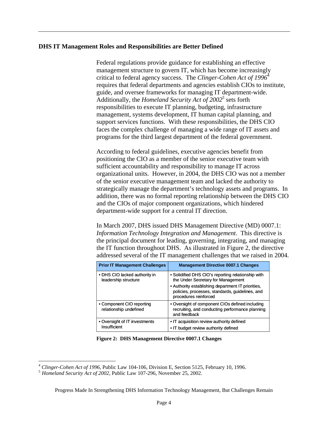#### **DHS IT Management Roles and Responsibilities are Better Defined**

Federal regulations provide guidance for establishing an effective management structure to govern IT, which has become increasingly critical to federal agency success. The *Clinger-Cohen Act of 1996*<sup>4</sup> requires that federal departments and agencies establish CIOs to institute, guide, and oversee frameworks for managing IT department-wide. Additionally, the *Homeland Security Act of 2002*<sup>5</sup> sets forth responsibilities to execute IT planning, budgeting, infrastructure management, systems development, IT human capital planning, and support services functions. With these responsibilities, the DHS CIO faces the complex challenge of managing a wide range of IT assets and programs for the third largest department of the federal government.

According to federal guidelines, executive agencies benefit from positioning the CIO as a member of the senior executive team with sufficient accountability and responsibility to manage IT across organizational units. However, in 2004, the DHS CIO was not a member of the senior executive management team and lacked the authority to strategically manage the department's technology assets and programs. In addition, there was no formal reporting relationship between the DHS CIO and the CIOs of major component organizations, which hindered department-wide support for a central IT direction.

In March 2007, DHS issued DHS Management Directive (MD) 0007.1: *Information Technology Integration and Management*. This directive is the principal document for leading, governing, integrating, and managing the IT function throughout DHS. As illustrated in Figure 2, the directive addressed several of the IT management challenges that we raised in 2004.

| <b>Prior IT Management Challenges</b>                 | <b>Management Directive 0007.1 Changes</b>                                                                                     |
|-------------------------------------------------------|--------------------------------------------------------------------------------------------------------------------------------|
| • DHS CIO lacked authority in<br>leadership structure | • Solidified DHS CIO's reporting relationship with<br>the Under Secretary for Management                                       |
|                                                       | • Authority establishing department IT priorities,<br>policies, processes, standards, guidelines, and<br>procedures reinforced |
| • Component CIO reporting<br>relationship undefined   | • Oversight of component CIOs defined including<br>recruiting, and conducting performance planning<br>and feedback             |
| • Oversight of IT investments<br>Insufficient         | • IT acquisition review authority defined<br>• IT budget review authority defined                                              |

**Figure 2: DHS Management Directive 0007.1 Changes** 

<sup>4</sup>*Clinger-Cohen Act of 1996*, Public Law 104-106, Division E, Section 5125, February 10, 1996. 5 *Homeland Security Act of 2002*, Public Law 107-296, November 25, 2002.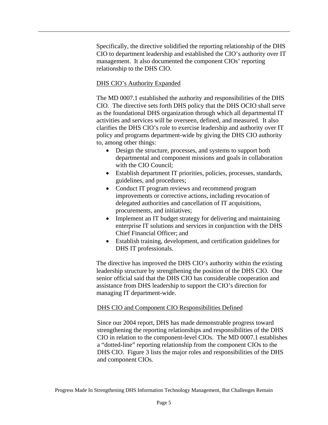Specifically, the directive solidified the reporting relationship of the DHS CIO to department leadership and established the CIO's authority over IT management. It also documented the component CIOs' reporting relationship to the DHS CIO.

#### DHS CIO's Authority Expanded

The MD 0007.1 established the authority and responsibilities of the DHS CIO. The directive sets forth DHS policy that the DHS OCIO shall serve as the foundational DHS organization through which all departmental IT activities and services will be overseen, defined, and measured. It also clarifies the DHS CIO's role to exercise leadership and authority over IT policy and programs department-wide by giving the DHS CIO authority to, among other things:

- Design the structure, processes, and systems to support both departmental and component missions and goals in collaboration with the CIO Council;
- Establish department IT priorities, policies, processes, standards, guidelines, and procedures;
- Conduct IT program reviews and recommend program improvements or corrective actions, including revocation of delegated authorities and cancellation of IT acquisitions, procurements, and initiatives;
- Implement an IT budget strategy for delivering and maintaining enterprise IT solutions and services in conjunction with the DHS Chief Financial Officer; and
- Establish training, development, and certification guidelines for DHS IT professionals.

The directive has improved the DHS CIO's authority within the existing leadership structure by strengthening the position of the DHS CIO. One senior official said that the DHS CIO has considerable cooperation and assistance from DHS leadership to support the CIO's direction for managing IT department-wide.

#### DHS CIO and Component CIO Responsibilities Defined

Since our 2004 report, DHS has made demonstrable progress toward strengthening the reporting relationships and responsibilities of the DHS CIO in relation to the component-level CIOs. The MD 0007.1 establishes a "dotted-line" reporting relationship from the component CIOs to the DHS CIO. Figure 3 lists the major roles and responsibilities of the DHS and component CIOs.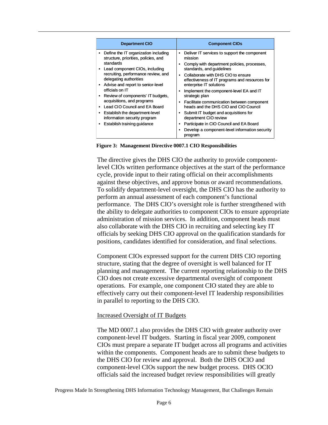| <b>Department CIO</b>                                                                                                                                                                                                                                                                                                                                                                                                                                                                                 | <b>Component CIOs</b>                                                                                                                                                                                                                                                                                                                                                                                                                                                                                                                                                                                                                |
|-------------------------------------------------------------------------------------------------------------------------------------------------------------------------------------------------------------------------------------------------------------------------------------------------------------------------------------------------------------------------------------------------------------------------------------------------------------------------------------------------------|--------------------------------------------------------------------------------------------------------------------------------------------------------------------------------------------------------------------------------------------------------------------------------------------------------------------------------------------------------------------------------------------------------------------------------------------------------------------------------------------------------------------------------------------------------------------------------------------------------------------------------------|
| Define the IT organization including<br>structure, priorities, policies, and<br>standards<br>Lead component CIOs, including<br>$\bullet$<br>recruiting, performance review, and<br>delegating authorities<br>Advise and report to senior-level<br>$\bullet$<br>officials on IT<br>Review of components' IT budgets,<br>$\bullet$<br>acquisitions, and programs<br>Lead CIO Council and EA Board<br>Establish the department-level<br>٠<br>information security program<br>Establish training guidance | Deliver IT services to support the component<br>٠<br>mission<br>Comply with department policies, processes,<br>٠<br>standards, and guidelines<br>Collaborate with DHS CIO to ensure<br>$\bullet$<br>effectiveness of IT programs and resources for<br>enterprise IT solutions<br>Implement the component-level EA and IT<br>٠<br>strategic plan<br>Facilitate communication between component<br>٠<br>heads and the DHS CIO and CIO Council<br>Submit IT budget and acquisitions for<br>٠<br>department CIO review<br>Participate in CIO Council and EA Board<br>٠<br>Develop a component-level information security<br>٠<br>program |

**Figure 3: Management Directive 0007.1 CIO Responsibilities** 

The directive gives the DHS CIO the authority to provide componentlevel CIOs written performance objectives at the start of the performance cycle, provide input to their rating official on their accomplishments against these objectives, and approve bonus or award recommendations. To solidify department-level oversight, the DHS CIO has the authority to perform an annual assessment of each component's functional performance. The DHS CIO's oversight role is further strengthened with the ability to delegate authorities to component CIOs to ensure appropriate administration of mission services. In addition, component heads must also collaborate with the DHS CIO in recruiting and selecting key IT officials by seeking DHS CIO approval on the qualification standards for positions, candidates identified for consideration, and final selections.

Component CIOs expressed support for the current DHS CIO reporting structure, stating that the degree of oversight is well balanced for IT planning and management. The current reporting relationship to the DHS CIO does not create excessive departmental oversight of component operations. For example, one component CIO stated they are able to effectively carry out their component-level IT leadership responsibilities in parallel to reporting to the DHS CIO.

#### **Increased Oversight of IT Budgets**

The MD 0007.1 also provides the DHS CIO with greater authority over component-level IT budgets. Starting in fiscal year 2009, component CIOs must prepare a separate IT budget across all programs and activities within the components. Component heads are to submit these budgets to the DHS CIO for review and approval. Both the DHS OCIO and component-level CIOs support the new budget process. DHS OCIO officials said the increased budget review responsibilities will greatly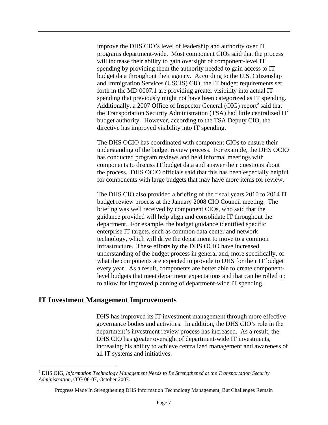improve the DHS CIO's level of leadership and authority over IT programs department-wide. Most component CIOs said that the process will increase their ability to gain oversight of component-level IT spending by providing them the authority needed to gain access to IT budget data throughout their agency. According to the U.S. Citizenship and Immigration Services (USCIS) CIO, the IT budget requirements set forth in the MD 0007.1 are providing greater visibility into actual IT spending that previously might not have been categorized as IT spending. Additionally, a 2007 Office of Inspector General (OIG) report<sup>6</sup> said that the Transportation Security Administration (TSA) had little centralized IT budget authority. However, according to the TSA Deputy CIO, the directive has improved visibility into IT spending.

The DHS OCIO has coordinated with component CIOs to ensure their understanding of the budget review process. For example, the DHS OCIO has conducted program reviews and held informal meetings with components to discuss IT budget data and answer their questions about the process. DHS OCIO officials said that this has been especially helpful for components with large budgets that may have more items for review.

The DHS CIO also provided a briefing of the fiscal years 2010 to 2014 IT budget review process at the January 2008 CIO Council meeting. The briefing was well received by component CIOs, who said that the guidance provided will help align and consolidate IT throughout the department. For example, the budget guidance identified specific enterprise IT targets, such as common data center and network technology, which will drive the department to move to a common infrastructure. These efforts by the DHS OCIO have increased understanding of the budget process in general and, more specifically, of what the components are expected to provide to DHS for their IT budget every year. As a result, components are better able to create componentlevel budgets that meet department expectations and that can be rolled up to allow for improved planning of department-wide IT spending.

#### **IT Investment Management Improvements**

 $\overline{a}$ 

DHS has improved its IT investment management through more effective governance bodies and activities. In addition, the DHS CIO's role in the department's investment review process has increased. As a result, the DHS CIO has greater oversight of department-wide IT investments, increasing his ability to achieve centralized management and awareness of all IT systems and initiatives.

<sup>6</sup> DHS OIG, *Information Technology Management Needs to Be Strengthened at the Transportation Security Administration*, OIG 08-07, October 2007.

Progress Made In Strengthening DHS Information Technology Management, But Challenges Remain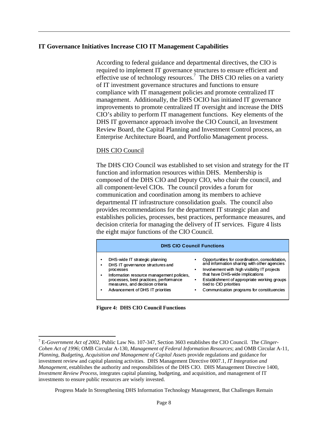#### **IT Governance Initiatives Increase CIO IT Management Capabilities**

According to federal guidance and departmental directives, the CIO is required to implement IT governance structures to ensure efficient and effective use of technology resources.<sup>7</sup> The DHS CIO relies on a variety of IT investment governance structures and functions to ensure compliance with IT management policies and promote centralized IT management. Additionally, the DHS OCIO has initiated IT governance improvements to promote centralized IT oversight and increase the DHS CIO's ability to perform IT management functions. Key elements of the DHS IT governance approach involve the CIO Council, an Investment Review Board, the Capital Planning and Investment Control process, an Enterprise Architecture Board, and Portfolio Management process.

#### DHS CIO Council

The DHS CIO Council was established to set vision and strategy for the IT function and information resources within DHS. Membership is composed of the DHS CIO and Deputy CIO, who chair the council, and all component-level CIOs. The council provides a forum for communication and coordination among its members to achieve departmental IT infrastructure consolidation goals. The council also provides recommendations for the department IT strategic plan and establishes policies, processes, best practices, performance measures, and decision criteria for managing the delivery of IT services. Figure 4 lists the eight major functions of the CIO Council.

| <b>DHS CIO Council Functions</b>                                                                                                                                                                                                                                  |                                                                                                                                                                                                                                                                                                                  |  |  |
|-------------------------------------------------------------------------------------------------------------------------------------------------------------------------------------------------------------------------------------------------------------------|------------------------------------------------------------------------------------------------------------------------------------------------------------------------------------------------------------------------------------------------------------------------------------------------------------------|--|--|
| DHS-wide IT strategic planning<br>٠<br>DHS IT governance structures and<br>٠<br>processes<br>Information resource management policies,<br>٠<br>processes, best practices, performance<br>measures, and decision criteria<br>Advancement of DHS IT priorities<br>٠ | Opportunities for coordination, consolidation,<br>and information sharing with other agencies<br>Involvement with high visibility IT projects<br>٠<br>that have DHS-wide implications<br>Establishment of appropriate working groups<br>tied to CIO priorities<br>Communication programs for constituencies<br>٠ |  |  |



 $\overline{a}$ 

Progress Made In Strengthening DHS Information Technology Management, But Challenges Remain

Planning, Budgeting, Acquisition and Management of Capital Assets provide regulations and guidance for investments to ensure public resources are wisely invested. 7 E-*Government Act of 2002*, Public Law No. 107-347, Section 3603 establishes the CIO Council. The *Clinger-Cohen Act of 1996*; OMB Circular A-130, *Management of Federal Information Resources*; and OMB Circular A-11, investment review and capital planning activities. DHS Management Directive 0007.1, *IT Integration and Management*, establishes the authority and responsibilities of the DHS CIO. DHS Management Directive 1400, *Investment Review Process*, integrates capital planning, budgeting, and acquisition, and management of IT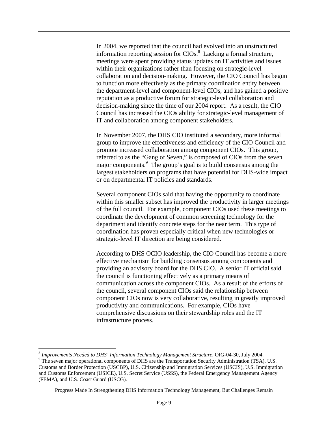In 2004, we reported that the council had evolved into an unstructured information reporting session for  $CIOs$ .<sup>8</sup> Lacking a formal structure, meetings were spent providing status updates on IT activities and issues within their organizations rather than focusing on strategic-level collaboration and decision-making. However, the CIO Council has begun to function more effectively as the primary coordination entity between the department-level and component-level CIOs, and has gained a positive reputation as a productive forum for strategic-level collaboration and decision-making since the time of our 2004 report. As a result, the CIO Council has increased the CIOs ability for strategic-level management of IT and collaboration among component stakeholders.

In November 2007, the DHS CIO instituted a secondary, more informal group to improve the effectiveness and efficiency of the CIO Council and promote increased collaboration among component CIOs. This group, referred to as the "Gang of Seven," is composed of CIOs from the seven major components.<sup>9</sup> The group's goal is to build consensus among the largest stakeholders on programs that have potential for DHS-wide impact or on departmental IT policies and standards.

Several component CIOs said that having the opportunity to coordinate within this smaller subset has improved the productivity in larger meetings of the full council. For example, component CIOs used these meetings to coordinate the development of common screening technology for the department and identify concrete steps for the near term. This type of coordination has proven especially critical when new technologies or strategic-level IT direction are being considered.

According to DHS OCIO leadership, the CIO Council has become a more effective mechanism for building consensus among components and providing an advisory board for the DHS CIO. A senior IT official said the council is functioning effectively as a primary means of communication across the component CIOs. As a result of the efforts of the council, several component CIOs said the relationship between component CIOs now is very collaborative, resulting in greatly improved productivity and communications. For example, CIOs have comprehensive discussions on their stewardship roles and the IT infrastructure process.

1

<sup>&</sup>lt;sup>8</sup> Improvements Needed to DHS' Information Technology Management Structure, OIG-04-30, July 2004.

<sup>&</sup>lt;sup>9</sup> The seven major operational components of DHS are the Transportation Security Administration (TSA), U.S. Customs and Border Protection (USCBP), U.S. Citizenship and Immigration Services (USCIS), U.S. Immigration and Customs Enforcement (USICE), U.S. Secret Service (USSS), the Federal Emergency Management Agency (FEMA), and U.S. Coast Guard (USCG).

Progress Made In Strengthening DHS Information Technology Management, But Challenges Remain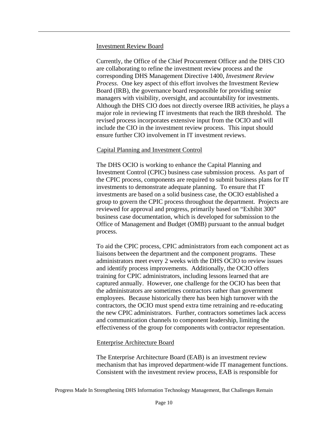#### Investment Review Board

Currently, the Office of the Chief Procurement Officer and the DHS CIO are collaborating to refine the investment review process and the corresponding DHS Management Directive 1400, *Investment Review Process*. One key aspect of this effort involves the Investment Review Board (IRB), the governance board responsible for providing senior managers with visibility, oversight, and accountability for investments. Although the DHS CIO does not directly oversee IRB activities, he plays a major role in reviewing IT investments that reach the IRB threshold. The revised process incorporates extensive input from the OCIO and will include the CIO in the investment review process. This input should ensure further CIO involvement in IT investment reviews.

#### Capital Planning and Investment Control

The DHS OCIO is working to enhance the Capital Planning and Investment Control (CPIC) business case submission process. As part of the CPIC process, components are required to submit business plans for IT investments to demonstrate adequate planning. To ensure that IT investments are based on a solid business case, the OCIO established a group to govern the CPIC process throughout the department. Projects are reviewed for approval and progress, primarily based on "Exhibit 300" business case documentation, which is developed for submission to the Office of Management and Budget (OMB) pursuant to the annual budget process.

To aid the CPIC process, CPIC administrators from each component act as liaisons between the department and the component programs. These administrators meet every 2 weeks with the DHS OCIO to review issues and identify process improvements. Additionally, the OCIO offers training for CPIC administrators, including lessons learned that are captured annually. However, one challenge for the OCIO has been that the administrators are sometimes contractors rather than government employees. Because historically there has been high turnover with the contractors, the OCIO must spend extra time retraining and re-educating the new CPIC administrators. Further, contractors sometimes lack access and communication channels to component leadership, limiting the effectiveness of the group for components with contractor representation.

#### Enterprise Architecture Board

The Enterprise Architecture Board (EAB) is an investment review mechanism that has improved department-wide IT management functions. Consistent with the investment review process, EAB is responsible for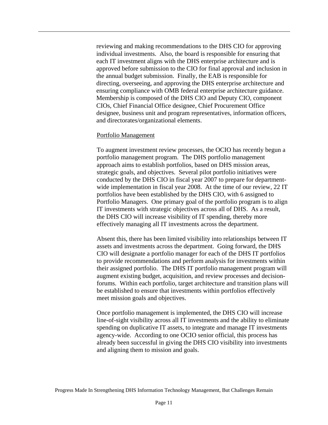ensuring compliance with OMB federal enterprise architecture guidance. Membership is composed of the DHS CIO and Deputy CIO, component reviewing and making recommendations to the DHS CIO for approving individual investments. Also, the board is responsible for ensuring that each IT investment aligns with the DHS enterprise architecture and is approved before submission to the CIO for final approval and inclusion in the annual budget submission. Finally, the EAB is responsible for directing, overseeing, and approving the DHS enterprise architecture and CIOs, Chief Financial Office designee, Chief Procurement Office designee, business unit and program representatives, information officers, and directorates/organizational elements.

#### Portfolio Management

To augment investment review processes, the OCIO has recently begun a portfolio management program. The DHS portfolio management approach aims to establish portfolios, based on DHS mission areas, strategic goals, and objectives. Several pilot portfolio initiatives were conducted by the DHS CIO in fiscal year 2007 to prepare for departmentwide implementation in fiscal year 2008. At the time of our review, 22 IT portfolios have been established by the DHS CIO, with 6 assigned to Portfolio Managers. One primary goal of the portfolio program is to align IT investments with strategic objectives across all of DHS. As a result, the DHS CIO will increase visibility of IT spending, thereby more effectively managing all IT investments across the department.

Absent this, there has been limited visibility into relationships between IT assets and investments across the department. Going forward, the DHS CIO will designate a portfolio manager for each of the DHS IT portfolios to provide recommendations and perform analysis for investments within their assigned portfolio. The DHS IT portfolio management program will augment existing budget, acquisition, and review processes and decisionforums. Within each portfolio, target architecture and transition plans will be established to ensure that investments within portfolios effectively meet mission goals and objectives.

Once portfolio management is implemented, the DHS CIO will increase line-of-sight visibility across all IT investments and the ability to eliminate spending on duplicative IT assets, to integrate and manage IT investments agency-wide. According to one OCIO senior official, this process has already been successful in giving the DHS CIO visibility into investments and aligning them to mission and goals.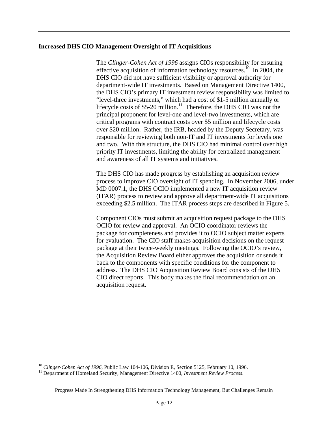#### **Increased DHS CIO Management Oversight of IT Acquisitions**

The *Clinger-Cohen Act of 1996* assigns CIOs responsibility for ensuring effective acquisition of information technology resources.<sup>10</sup> In 2004, the DHS CIO did not have sufficient visibility or approval authority for department-wide IT investments. Based on Management Directive 1400, the DHS CIO's primary IT investment review responsibility was limited to "level-three investments," which had a cost of \$1-5 million annually or lifecycle costs of \$5-20 million.<sup>11</sup> Therefore, the DHS CIO was not the principal proponent for level-one and level-two investments, which are critical programs with contract costs over \$5 million and lifecycle costs over \$20 million. Rather, the IRB, headed by the Deputy Secretary, was responsible for reviewing both non-IT and IT investments for levels one and two. With this structure, the DHS CIO had minimal control over high priority IT investments, limiting the ability for centralized management and awareness of all IT systems and initiatives.

The DHS CIO has made progress by establishing an acquisition review process to improve CIO oversight of IT spending. In November 2006, under MD 0007.1, the DHS OCIO implemented a new IT acquisition review (ITAR) process to review and approve all department-wide IT acquisitions exceeding \$2.5 million. The ITAR process steps are described in Figure 5.

Component CIOs must submit an acquisition request package to the DHS OCIO for review and approval. An OCIO coordinator reviews the package for completeness and provides it to OCIO subject matter experts for evaluation. The CIO staff makes acquisition decisions on the request package at their twice-weekly meetings. Following the OCIO's review, the Acquisition Review Board either approves the acquisition or sends it back to the components with specific conditions for the component to address. The DHS CIO Acquisition Review Board consists of the DHS CIO direct reports. This body makes the final recommendation on an acquisition request.

<sup>&</sup>lt;sup>10</sup> Clinger-Cohen Act of 1996, Public Law 104-106, Division E, Section 5125, February 10, 1996.<br><sup>11</sup> Department of Homeland Security, Management Directive 1400, *Investment Review Process*.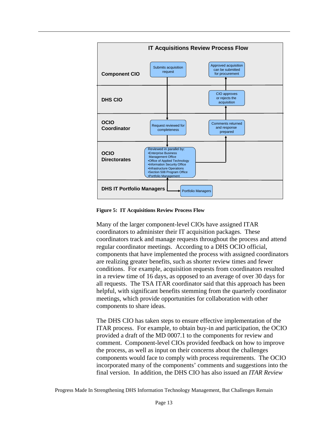

**Figure 5: IT Acquisitions Review Process Flow** 

Many of the larger component-level CIOs have assigned ITAR coordinators to administer their IT acquisition packages. These coordinators track and manage requests throughout the process and attend regular coordinator meetings. According to a DHS OCIO official, components that have implemented the process with assigned coordinators are realizing greater benefits, such as shorter review times and fewer conditions. For example, acquisition requests from coordinators resulted in a review time of 16 days, as opposed to an average of over 30 days for all requests. The TSA ITAR coordinator said that this approach has been helpful, with significant benefits stemming from the quarterly coordinator meetings, which provide opportunities for collaboration with other components to share ideas.

The DHS CIO has taken steps to ensure effective implementation of the ITAR process. For example, to obtain buy-in and participation, the OCIO provided a draft of the MD 0007.1 to the components for review and comment. Component-level CIOs provided feedback on how to improve the process, as well as input on their concerns about the challenges components would face to comply with process requirements. The OCIO incorporated many of the components' comments and suggestions into the final version. In addition, the DHS CIO has also issued an *ITAR Review*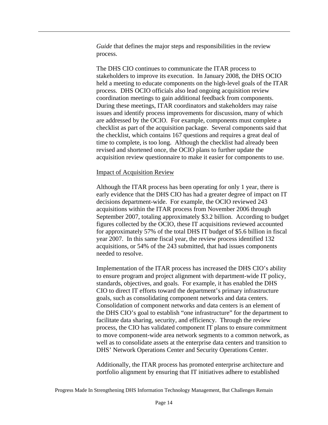*Guide* that defines the major steps and responsibilities in the review process.

The DHS CIO continues to communicate the ITAR process to stakeholders to improve its execution. In January 2008, the DHS OCIO held a meeting to educate components on the high-level goals of the ITAR process. DHS OCIO officials also lead ongoing acquisition review coordination meetings to gain additional feedback from components. During these meetings, ITAR coordinators and stakeholders may raise issues and identify process improvements for discussion, many of which are addressed by the OCIO. For example, components must complete a checklist as part of the acquisition package. Several components said that the checklist, which contains 167 questions and requires a great deal of time to complete, is too long. Although the checklist had already been revised and shortened once, the OCIO plans to further update the acquisition review questionnaire to make it easier for components to use.

#### Impact of Acquisition Review

Although the ITAR process has been operating for only 1 year, there is early evidence that the DHS CIO has had a greater degree of impact on IT decisions department-wide. For example, the OCIO reviewed 243 acquisitions within the ITAR process from November 2006 through September 2007, totaling approximately \$3.2 billion. According to budget figures collected by the OCIO, these IT acquisitions reviewed accounted for approximately 57% of the total DHS IT budget of \$5.6 billion in fiscal year 2007. In this same fiscal year, the review process identified 132 acquisitions, or 54% of the 243 submitted, that had issues components needed to resolve.

Implementation of the ITAR process has increased the DHS CIO's ability to ensure program and project alignment with department-wide IT policy, standards, objectives, and goals. For example, it has enabled the DHS CIO to direct IT efforts toward the department's primary infrastructure goals, such as consolidating component networks and data centers. Consolidation of component networks and data centers is an element of the DHS CIO's goal to establish "one infrastructure" for the department to facilitate data sharing, security, and efficiency. Through the review process, the CIO has validated component IT plans to ensure commitment to move component-wide area network segments to a common network, as well as to consolidate assets at the enterprise data centers and transition to DHS' Network Operations Center and Security Operations Center.

Additionally, the ITAR process has promoted enterprise architecture and portfolio alignment by ensuring that IT initiatives adhere to established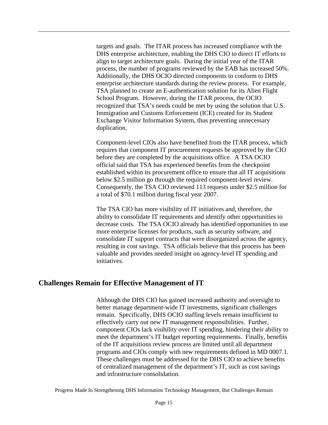process, the number of programs reviewed by the EAB has increased 50%. Additionally, the DHS OCIO directed components to conform to DHS targets and goals. The ITAR process has increased compliance with the DHS enterprise architecture, enabling the DHS CIO to direct IT efforts to align to target architecture goals. During the initial year of the ITAR enterprise architecture standards during the review process. For example, TSA planned to create an E-authentication solution for its Alien Flight School Program. However, during the ITAR process, the OCIO recognized that TSA's needs could be met by using the solution that U.S. Immigration and Customs Enforcement (ICE) created for its Student Exchange Visitor Information System, thus preventing unnecessary duplication.

Component-level CIOs also have benefited from the ITAR process, which requires that component IT procurement requests be approved by the CIO before they are completed by the acquisitions office. A TSA OCIO official said that TSA has experienced benefits from the checkpoint established within its procurement office to ensure that all IT acquisitions below \$2.5 million go through the required component-level review. Consequently, the TSA CIO reviewed 113 requests under \$2.5 million for a total of \$70.1 million during fiscal year 2007.

The TSA CIO has more visibility of IT initiatives and, therefore, the ability to consolidate IT requirements and identify other opportunities to decrease costs. The TSA OCIO already has identified opportunities to use more enterprise licenses for products, such as security software, and consolidate IT support contracts that were disorganized across the agency, resulting in cost savings. TSA officials believe that this process has been valuable and provides needed insight on agency-level IT spending and initiatives.

#### **Challenges Remain for Effective Management of IT**

Although the DHS CIO has gained increased authority and oversight to better manage department-wide IT investments, significant challenges remain. Specifically, DHS OCIO staffing levels remain insufficient to effectively carry out new IT management responsibilities. Further, component CIOs lack visibility over IT spending, hindering their ability to meet the department's IT budget reporting requirements. Finally, benefits of the IT acquisitions review process are limited until all department programs and CIOs comply with new requirements defined in MD 0007.1. These challenges must be addressed for the DHS CIO to achieve benefits of centralized management of the department's IT, such as cost savings and infrastructure consolidation.

Progress Made In Strengthening DHS Information Technology Management, But Challenges Remain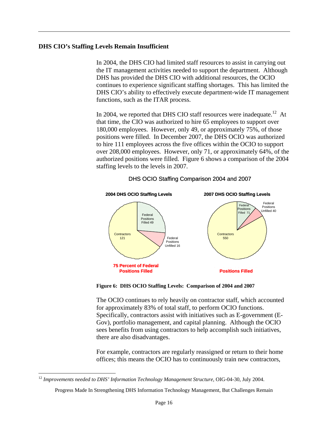#### **DHS CIO's Staffing Levels Remain Insufficient**

In 2004, the DHS CIO had limited staff resources to assist in carrying out the IT management activities needed to support the department. Although DHS has provided the DHS CIO with additional resources, the OCIO continues to experience significant staffing shortages. This has limited the DHS CIO's ability to effectively execute department-wide IT management functions, such as the ITAR process.

In 2004, we reported that DHS CIO staff resources were inadequate.<sup>12</sup> At that time, the CIO was authorized to hire 65 employees to support over 180,000 employees. However, only 49, or approximately 75%, of those positions were filled. In December 2007, the DHS OCIO was authorized to hire 111 employees across the five offices within the OCIO to support over 208,000 employees. However, only 71, or approximately 64%, of the authorized positions were filled. Figure 6 shows a comparison of the 2004 staffing levels to the levels in 2007.



#### DHS OCIO Staffing Comparison 2004 and 2007

 **Figure 6: DHS OCIO Staffing Levels: Comparison of 2004 and 2007** 

The OCIO continues to rely heavily on contractor staff, which accounted for approximately 83% of total staff, to perform OCIO functions. Specifically, contractors assist with initiatives such as E-government (E-Gov), portfolio management, and capital planning. Although the OCIO sees benefits from using contractors to help accomplish such initiatives, there are also disadvantages.

For example, contractors are regularly reassigned or return to their home offices; this means the OCIO has to continuously train new contractors,

<sup>&</sup>lt;sup>12</sup> Improvements needed to DHS' Information Technology Management Structure, OIG-04-30, July 2004.

Progress Made In Strengthening DHS Information Technology Management, But Challenges Remain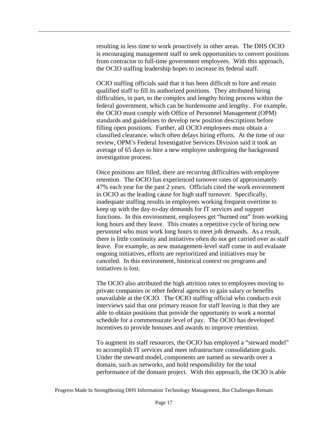resulting in less time to work proactively in other areas. The DHS OCIO is encouraging management staff to seek opportunities to convert positions from contractor to full-time government employees. With this approach, the OCIO staffing leadership hopes to increase its federal staff.

OCIO staffing officials said that it has been difficult to hire and retain qualified staff to fill its authorized positions. They attributed hiring difficulties, in part, to the complex and lengthy hiring process within the federal government, which can be burdensome and lengthy. For example, the OCIO must comply with Office of Personnel Management (OPM) standards and guidelines to develop new position descriptions before filling open positions. Further, all OCIO employees must obtain a classified clearance, which often delays hiring efforts. At the time of our review, OPM's Federal Investigative Services Division said it took an average of 65 days to hire a new employee undergoing the background investigation process.

Once positions are filled, there are recurring difficulties with employee retention. The OCIO has experienced turnover rates of approximately 47% each year for the past 2 years. Officials cited the work environment in OCIO as the leading cause for high staff turnover. Specifically, inadequate staffing results in employees working frequent overtime to keep up with the day-to-day demands for IT services and support functions. In this environment, employees get "burned out" from working long hours and they leave. This creates a repetitive cycle of hiring new personnel who must work long hours to meet job demands. As a result, there is little continuity and initiatives often do not get carried over as staff leave. For example, as new management-level staff come in and evaluate ongoing initiatives, efforts are reprioritized and initiatives may be canceled. In this environment, historical context on programs and initiatives is lost.

The OCIO also attributed the high attrition rates to employees moving to private companies or other federal agencies to gain salary or benefits unavailable at the OCIO. The OCIO staffing official who conducts exit interviews said that one primary reason for staff leaving is that they are able to obtain positions that provide the opportunity to work a normal schedule for a commensurate level of pay. The OCIO has developed incentives to provide bonuses and awards to improve retention.

To augment its staff resources, the OCIO has employed a "steward model" to accomplish IT services and meet infrastructure consolidation goals. Under the steward model, components are named as stewards over a domain, such as networks, and hold responsibility for the total performance of the domain project. With this approach, the OCIO is able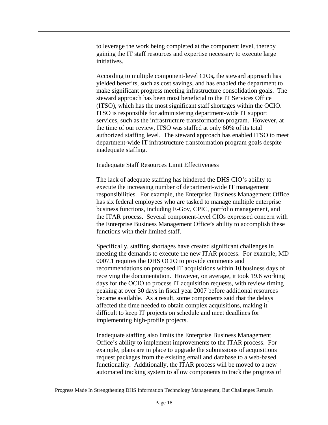to leverage the work being completed at the component level, thereby gaining the IT staff resources and expertise necessary to execute large initiatives.

According to multiple component-level CIOs**,** the steward approach has yielded benefits, such as cost savings, and has enabled the department to make significant progress meeting infrastructure consolidation goals. The steward approach has been most beneficial to the IT Services Office (ITSO), which has the most significant staff shortages within the OCIO. ITSO is responsible for administering department-wide IT support services, such as the infrastructure transformation program. However, at the time of our review, ITSO was staffed at only 60% of its total authorized staffing level. The steward approach has enabled ITSO to meet department-wide IT infrastructure transformation program goals despite inadequate staffing.

#### Inadequate Staff Resources Limit Effectiveness

The lack of adequate staffing has hindered the DHS CIO's ability to execute the increasing number of department-wide IT management responsibilities. For example, the Enterprise Business Management Office has six federal employees who are tasked to manage multiple enterprise business functions, including E-Gov, CPIC, portfolio management, and the ITAR process. Several component-level CIOs expressed concern with the Enterprise Business Management Office's ability to accomplish these functions with their limited staff.

Specifically, staffing shortages have created significant challenges in meeting the demands to execute the new ITAR process. For example, MD 0007.1 requires the DHS OCIO to provide comments and recommendations on proposed IT acquisitions within 10 business days of receiving the documentation. However, on average, it took 19.6 working days for the OCIO to process IT acquisition requests, with review timing peaking at over 30 days in fiscal year 2007 before additional resources became available. As a result, some components said that the delays affected the time needed to obtain complex acquisitions, making it difficult to keep IT projects on schedule and meet deadlines for implementing high-profile projects.

Inadequate staffing also limits the Enterprise Business Management Office's ability to implement improvements to the ITAR process. For example, plans are in place to upgrade the submissions of acquisitions request packages from the existing email and database to a web-based functionality. Additionally, the ITAR process will be moved to a new automated tracking system to allow components to track the progress of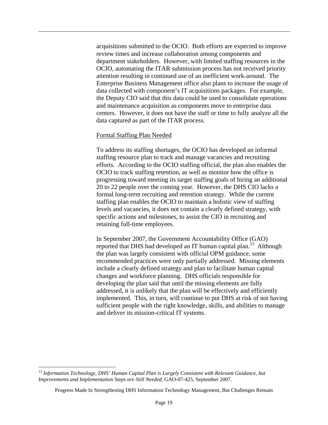acquisitions submitted to the OCIO. Both efforts are expected to improve review times and increase collaboration among components and department stakeholders. However, with limited staffing resources in the OCIO, automating the ITAR submission process has not received priority attention resulting in continued use of an inefficient work-around. The Enterprise Business Management office also plans to increase the usage of data collected with component's IT acquisitions packages. For example, the Deputy CIO said that this data could be used to consolidate operations and maintenance acquisition as components move to enterprise data centers. However, it does not have the staff or time to fully analyze all the data captured as part of the ITAR process.

#### Formal Staffing Plan Needed

To address its staffing shortages, the OCIO has developed an informal staffing resource plan to track and manage vacancies and recruiting efforts. According to the OCIO staffing official, the plan also enables the OCIO to track staffing retention, as well as monitor how the office is progressing toward meeting its target staffing goals of hiring an additional 20 to 22 people over the coming year. However, the DHS CIO lacks a formal long-term recruiting and retention strategy. While the current staffing plan enables the OCIO to maintain a holistic view of staffing levels and vacancies, it does not contain a clearly defined strategy, with specific actions and milestones, to assist the CIO in recruiting and retaining full-time employees.

In September 2007, the Government Accountability Office (GAO) reported that DHS had developed an IT human capital plan.<sup>13</sup> Although the plan was largely consistent with official OPM guidance, some recommended practices were only partially addressed. Missing elements include a clearly defined strategy and plan to facilitate human capital changes and workforce planning. DHS officials responsible for developing the plan said that until the missing elements are fully addressed, it is unlikely that the plan will be effectively and efficiently implemented. This, in turn, will continue to put DHS at risk of not having sufficient people with the right knowledge, skills, and abilities to manage and deliver its mission-critical IT systems.

<sup>13</sup>*Information Technology, DHS' Human Capital Plan is Largely Consistent with Relevant Guidance, but Improvements and Implementation Steps are Still Needed*, GAO-07-425, September 2007.

Progress Made In Strengthening DHS Information Technology Management, But Challenges Remain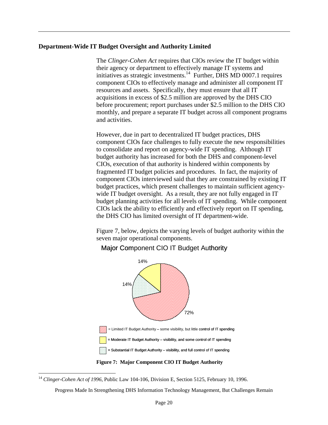#### **Department-Wide IT Budget Oversight and Authority Limited**

The *Clinger-Cohen Act* requires that CIOs review the IT budget within their agency or department to effectively manage IT systems and initiatives as strategic investments.<sup>14</sup> Further, DHS MD 0007.1 requires component CIOs to effectively manage and administer all component IT resources and assets. Specifically, they must ensure that all IT acquisitions in excess of \$2.5 million are approved by the DHS CIO before procurement; report purchases under \$2.5 million to the DHS CIO monthly, and prepare a separate IT budget across all component programs and activities.

However, due in part to decentralized IT budget practices, DHS component CIOs face challenges to fully execute the new responsibilities to consolidate and report on agency-wide IT spending. Although IT budget authority has increased for both the DHS and component-level CIOs, execution of that authority is hindered within components by fragmented IT budget policies and procedures. In fact, the majority of component CIOs interviewed said that they are constrained by existing IT budget practices, which present challenges to maintain sufficient agencywide IT budget oversight. As a result, they are not fully engaged in IT budget planning activities for all levels of IT spending. While component CIOs lack the ability to efficiently and effectively report on IT spending, the DHS CIO has limited oversight of IT department-wide.

Figure 7, below, depicts the varying levels of budget authority within the seven major operational components.



#### Major Component CIO IT Budget Authority

 $\overline{a}$ 

Progress Made In Strengthening DHS Information Technology Management, But Challenges Remain

<sup>14</sup>*Clinger-Cohen Act of 1996*, Public Law 104-106, Division E, Section 5125, February 10, 1996.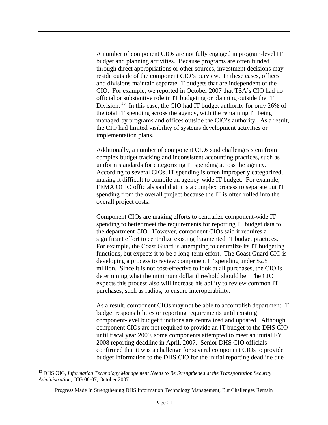A number of component CIOs are not fully engaged in program-level IT budget and planning activities. Because programs are often funded through direct appropriations or other sources, investment decisions may reside outside of the component CIO's purview. In these cases, offices and divisions maintain separate IT budgets that are independent of the CIO. For example, we reported in October 2007 that TSA's CIO had no official or substantive role in IT budgeting or planning outside the IT Division. 15 In this case, the CIO had IT budget authority for only 26% of the total IT spending across the agency, with the remaining IT being managed by programs and offices outside the CIO's authority. As a result, the CIO had limited visibility of systems development activities or implementation plans.

Additionally, a number of component CIOs said challenges stem from complex budget tracking and inconsistent accounting practices, such as uniform standards for categorizing IT spending across the agency. According to several CIOs, IT spending is often improperly categorized, making it difficult to compile an agency-wide IT budget. For example, FEMA OCIO officials said that it is a complex process to separate out IT spending from the overall project because the IT is often rolled into the overall project costs.

Component CIOs are making efforts to centralize component-wide IT spending to better meet the requirements for reporting IT budget data to the department CIO. However, component CIOs said it requires a significant effort to centralize existing fragmented IT budget practices. For example, the Coast Guard is attempting to centralize its IT budgeting functions, but expects it to be a long-term effort. The Coast Guard CIO is developing a process to review component IT spending under \$2.5 million. Since it is not cost-effective to look at all purchases, the CIO is determining what the minimum dollar threshold should be. The CIO expects this process also will increase his ability to review common IT purchases, such as radios, to ensure interoperability.

As a result, component CIOs may not be able to accomplish department IT budget responsibilities or reporting requirements until existing component-level budget functions are centralized and updated. Although component CIOs are not required to provide an IT budget to the DHS CIO until fiscal year 2009, some components attempted to meet an initial FY 2008 reporting deadline in April, 2007. Senior DHS CIO officials confirmed that it was a challenge for several component CIOs to provide budget information to the DHS CIO for the initial reporting deadline due

<sup>15</sup> DHS OIG, *Information Technology Management Needs to Be Strengthened at the Transportation Security Administration*, OIG 08-07, October 2007.

Progress Made In Strengthening DHS Information Technology Management, But Challenges Remain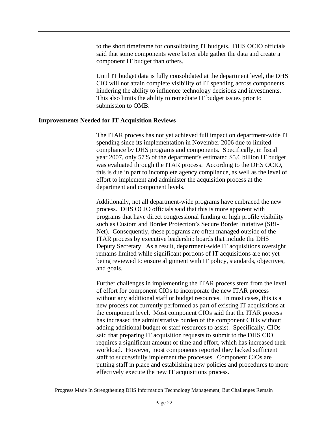to the short timeframe for consolidating IT budgets. DHS OCIO officials said that some components were better able gather the data and create a component IT budget than others.

Until IT budget data is fully consolidated at the department level, the DHS CIO will not attain complete visibility of IT spending across components, hindering the ability to influence technology decisions and investments. This also limits the ability to remediate IT budget issues prior to submission to OMB.

#### **Improvements Needed for IT Acquisition Reviews**

The ITAR process has not yet achieved full impact on department-wide IT spending since its implementation in November 2006 due to limited compliance by DHS programs and components. Specifically, in fiscal year 2007, only 57% of the department's estimated \$5.6 billion IT budget was evaluated through the ITAR process. According to the DHS OCIO, this is due in part to incomplete agency compliance, as well as the level of effort to implement and administer the acquisition process at the department and component levels.

Additionally, not all department-wide programs have embraced the new process. DHS OCIO officials said that this is more apparent with programs that have direct congressional funding or high profile visibility such as Custom and Border Protection's Secure Border Initiative (SBI-Net). Consequently, these programs are often managed outside of the ITAR process by executive leadership boards that include the DHS Deputy Secretary. As a result, department-wide IT acquisitions oversight remains limited while significant portions of IT acquisitions are not yet being reviewed to ensure alignment with IT policy, standards, objectives, and goals.

Further challenges in implementing the ITAR process stem from the level of effort for component CIOs to incorporate the new ITAR process without any additional staff or budget resources. In most cases, this is a new process not currently performed as part of existing IT acquisitions at the component level. Most component CIOs said that the ITAR process has increased the administrative burden of the component CIOs without adding additional budget or staff resources to assist. Specifically, CIOs said that preparing IT acquisition requests to submit to the DHS CIO requires a significant amount of time and effort, which has increased their workload. However, most components reported they lacked sufficient staff to successfully implement the processes. Component CIOs are putting staff in place and establishing new policies and procedures to more effectively execute the new IT acquisitions process.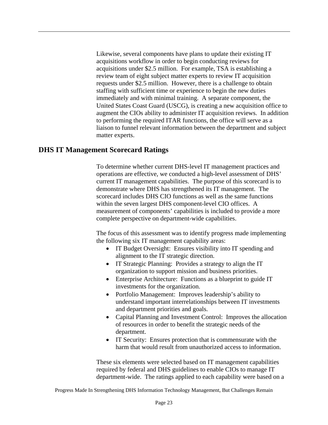immediately and with minimal training. A separate component, the Likewise, several components have plans to update their existing IT acquisitions workflow in order to begin conducting reviews for acquisitions under \$2.5 million. For example, TSA is establishing a review team of eight subject matter experts to review IT acquisition requests under \$2.5 million. However, there is a challenge to obtain staffing with sufficient time or experience to begin the new duties United States Coast Guard (USCG), is creating a new acquisition office to augment the CIOs ability to administer IT acquisition reviews. In addition to performing the required ITAR functions, the office will serve as a liaison to funnel relevant information between the department and subject matter experts.

#### **DHS IT Management Scorecard Ratings**

To determine whether current DHS-level IT management practices and operations are effective, we conducted a high-level assessment of DHS' current IT management capabilities. The purpose of this scorecard is to demonstrate where DHS has strengthened its IT management. The scorecard includes DHS CIO functions as well as the same functions within the seven largest DHS component-level CIO offices. A measurement of components' capabilities is included to provide a more complete perspective on department-wide capabilities.

The focus of this assessment was to identify progress made implementing the following six IT management capability areas:

- alignment to the IT strategic direction. • IT Budget Oversight: Ensures visibility into IT spending and
- IT Strategic Planning: Provides a strategy to align the IT organization to support mission and business priorities.
- Enterprise Architecture: Functions as a blueprint to guide IT investments for the organization.
- Portfolio Management: Improves leadership's ability to understand important interrelationships between IT investments and department priorities and goals.
- Capital Planning and Investment Control: Improves the allocation of resources in order to benefit the strategic needs of the department.
- IT Security: Ensures protection that is commensurate with the harm that would result from unauthorized access to information.

These six elements were selected based on IT management capabilities required by federal and DHS guidelines to enable CIOs to manage IT department-wide. The ratings applied to each capability were based on a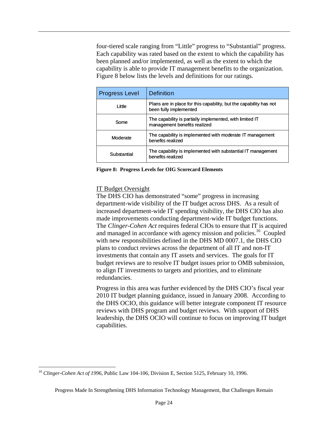four-tiered scale ranging from "Little" progress to "Substantial" progress. Each capability was rated based on the extent to which the capability has been planned and/or implemented, as well as the extent to which the capability is able to provide IT management benefits to the organization. Figure 8 below lists the levels and definitions for our ratings.

| <b>Progress Level</b>                                                                                  | Definition |  |
|--------------------------------------------------------------------------------------------------------|------------|--|
| Plans are in place for this capability, but the capability has not<br>Little<br>been fully implemented |            |  |
| The capability is partially implemented, with limited IT<br>Some<br>management benefits realized       |            |  |
| The capability is implemented with moderate IT management<br>Moderate<br>benefits realized             |            |  |
| The capability is implemented with substantial IT management<br>Substantial<br>benefits realized       |            |  |

**Figure 8: Progress Levels for OIG Scorecard Elements** 

#### IT Budget Oversight

The DHS CIO has demonstrated "some" progress in increasing department-wide visibility of the IT budget across DHS. As a result of increased department-wide IT spending visibility, the DHS CIO has also made improvements conducting department-wide IT budget functions. The *Clinger-Cohen Act* requires federal CIOs to ensure that IT is acquired and managed in accordance with agency mission and policies.<sup>16</sup> Coupled with new responsibilities defined in the DHS MD 0007.1, the DHS CIO plans to conduct reviews across the department of all IT and non-IT investments that contain any IT assets and services. The goals for IT budget reviews are to resolve IT budget issues prior to OMB submission, to align IT investments to targets and priorities, and to eliminate redundancies.

Progress in this area was further evidenced by the DHS CIO's fiscal year 2010 IT budget planning guidance, issued in January 2008. According to the DHS OCIO, this guidance will better integrate component IT resource reviews with DHS program and budget reviews. With support of DHS leadership, the DHS OCIO will continue to focus on improving IT budget capabilities.

<sup>1</sup> <sup>16</sup>*Clinger-Cohen Act of 1996*, Public Law 104-106, Division E, Section 5125, February 10, 1996.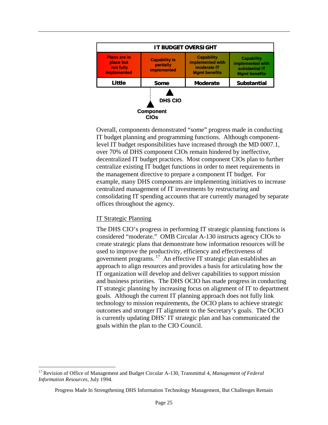

Overall, components demonstrated "some" progress made in conducting IT budget planning and programming functions. Although componentlevel IT budget responsibilities have increased through the MD 0007.1, over 70% of DHS component CIOs remain hindered by ineffective, decentralized IT budget practices. Most component CIOs plan to further centralize existing IT budget functions in order to meet requirements in the management directive to prepare a component IT budget. For example, many DHS components are implementing initiatives to increase centralized management of IT investments by restructuring and consolidating IT spending accounts that are currently managed by separate offices throughout the agency.

#### IT Strategic Planning

The DHS CIO's progress in performing IT strategic planning functions is considered "moderate." OMB Circular A-130 instructs agency CIOs to create strategic plans that demonstrate how information resources will be used to improve the productivity, efficiency and effectiveness of government programs. 17 An effective IT strategic plan establishes an approach to align resources and provides a basis for articulating how the IT organization will develop and deliver capabilities to support mission and business priorities. The DHS OCIO has made progress in conducting IT strategic planning by increasing focus on alignment of IT to department goals. Although the current IT planning approach does not fully link technology to mission requirements, the OCIO plans to achieve strategic outcomes and stronger IT alignment to the Secretary's goals. The OCIO is currently updating DHS' IT strategic plan and has communicated the goals within the plan to the CIO Council.

1

<sup>17</sup> Revision of Office of Management and Budget Circular A-130, Transmittal 4, *Management of Federal Information Resources*, July 1994.

Progress Made In Strengthening DHS Information Technology Management, But Challenges Remain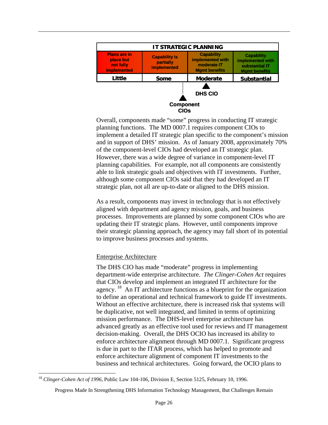

Overall, components made "some" progress in conducting IT strategic planning functions. The MD 0007.1 requires component CIOs to implement a detailed IT strategic plan specific to the component's mission and in support of DHS' mission. As of January 2008, approximately 70% of the component-level CIOs had developed an IT strategic plan. However, there was a wide degree of variance in component-level IT planning capabilities. For example, not all components are consistently able to link strategic goals and objectives with IT investments. Further, although some component CIOs said that they had developed an IT strategic plan, not all are up-to-date or aligned to the DHS mission.

As a result, components may invest in technology that is not effectively aligned with department and agency mission, goals, and business processes. Improvements are planned by some component CIOs who are updating their IT strategic plans. However, until components improve their strategic planning approach, the agency may fall short of its potential to improve business processes and systems.

#### Enterprise Architecture

The DHS CIO has made "moderate" progress in implementing department-wide enterprise architecture. *The Clinger-Cohen Act* requires that CIOs develop and implement an integrated IT architecture for the agency. 18 An IT architecture functions as a blueprint for the organization to define an operational and technical framework to guide IT investments. Without an effective architecture, there is increased risk that systems will be duplicative, not well integrated, and limited in terms of optimizing mission performance. The DHS-level enterprise architecture has advanced greatly as an effective tool used for reviews and IT management decision-making. Overall, the DHS OCIO has increased its ability to enforce architecture alignment through MD 0007.1. Significant progress is due in part to the ITAR process, which has helped to promote and enforce architecture alignment of component IT investments to the business and technical architectures. Going forward, the OCIO plans to

1

<sup>18</sup>*Clinger-Cohen Act of 1996*, Public Law 104-106, Division E, Section 5125, February 10, 1996.

Progress Made In Strengthening DHS Information Technology Management, But Challenges Remain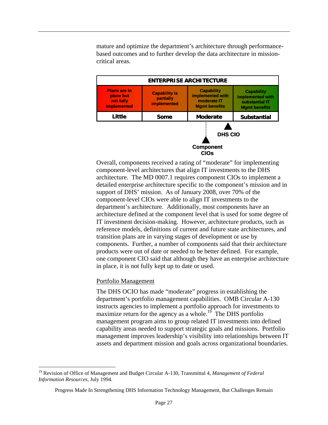mature and optimize the department's architecture through performancebased outcomes and to further develop the data architecture in missioncritical areas.



Overall, components received a rating of "moderate" for implementing component-level architectures that align IT investments to the DHS architecture. The MD 0007.1 requires component CIOs to implement a detailed enterprise architecture specific to the component's mission and in support of DHS' mission. As of January 2008, over 70% of the component-level CIOs were able to align IT investments to the department's architecture. Additionally, most components have an architecture defined at the component level that is used for some degree of IT investment decision-making. However, architecture products, such as reference models, definitions of current and future state architectures, and transition plans are in varying stages of development or use by components. Further, a number of components said that their architecture products were out of date or needed to be better defined. For example, one component CIO said that although they have an enterprise architecture in place, it is not fully kept up to date or used.

#### Portfolio Management

 $\overline{a}$ 

The DHS OCIO has made "moderate" progress in establishing the department's portfolio management capabilities. OMB Circular A-130 instructs agencies to implement a portfolio approach for investments to maximize return for the agency as a whole.<sup>19</sup> The DHS portfolio management program aims to group related IT investments into defined capability areas needed to support strategic goals and missions. Portfolio management improves leadership's visibility into relationships between IT assets and department mission and goals across organizational boundaries.

<sup>19</sup> Revision of Office of Management and Budget Circular A-130, Transmittal 4, *Management of Federal Information Resources*, July 1994.

Progress Made In Strengthening DHS Information Technology Management, But Challenges Remain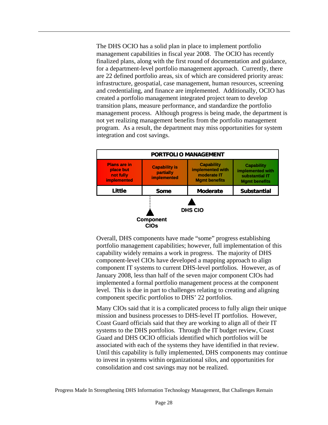The DHS OCIO has a solid plan in place to implement portfolio management capabilities in fiscal year 2008. The OCIO has recently finalized plans, along with the first round of documentation and guidance, for a department-level portfolio management approach. Currently, there are 22 defined portfolio areas, six of which are considered priority areas: infrastructure, geospatial, case management, human resources, screening and credentialing, and finance are implemented. Additionally, OCIO has created a portfolio management integrated project team to develop transition plans, measure performance, and standardize the portfolio management process. Although progress is being made, the department is not yet realizing management benefits from the portfolio management program. As a result, the department may miss opportunities for system integration and cost savings.



Overall, DHS components have made "some" progress establishing portfolio management capabilities; however, full implementation of this capability widely remains a work in progress. The majority of DHS component-level CIOs have developed a mapping approach to align component IT systems to current DHS-level portfolios. However, as of January 2008, less than half of the seven major component CIOs had implemented a formal portfolio management process at the component level. This is due in part to challenges relating to creating and aligning component specific portfolios to DHS' 22 portfolios.

Many CIOs said that it is a complicated process to fully align their unique mission and business processes to DHS-level IT portfolios. However, Coast Guard officials said that they are working to align all of their IT systems to the DHS portfolios. Through the IT budget review, Coast Guard and DHS OCIO officials identified which portfolios will be associated with each of the systems they have identified in that review. Until this capability is fully implemented, DHS components may continue to invest in systems within organizational silos, and opportunities for consolidation and cost savings may not be realized.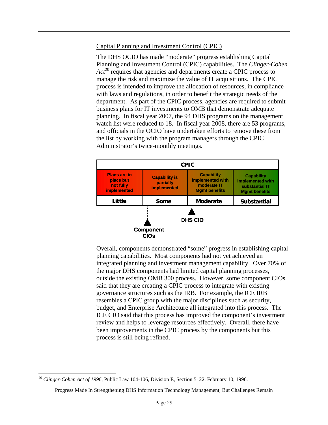#### Capital Planning and Investment Control (CPIC)

The DHS OCIO has made "moderate" progress establishing Capital Planning and Investment Control (CPIC) capabilities. The *Clinger-Cohen*  Act<sup>20</sup> requires that agencies and departments create a CPIC process to manage the risk and maximize the value of IT acquisitions. The CPIC process is intended to improve the allocation of resources, in compliance with laws and regulations, in order to benefit the strategic needs of the department. As part of the CPIC process, agencies are required to submit business plans for IT investments to OMB that demonstrate adequate planning. In fiscal year 2007, the 94 DHS programs on the management watch list were reduced to 18. In fiscal year 2008, there are 53 programs, and officials in the OCIO have undertaken efforts to remove these from the list by working with the program managers through the CPIC Administrator's twice-monthly meetings.



Overall, components demonstrated "some" progress in establishing capital planning capabilities. Most components had not yet achieved an integrated planning and investment management capability. Over 70% of the major DHS components had limited capital planning processes, outside the existing OMB 300 process. However, some component CIOs said that they are creating a CPIC process to integrate with existing governance structures such as the IRB. For example, the ICE IRB resembles a CPIC group with the major disciplines such as security, budget, and Enterprise Architecture all integrated into this process. The ICE CIO said that this process has improved the component's investment review and helps to leverage resources effectively. Overall, there have been improvements in the CPIC process by the components but this process is still being refined.

1

<sup>20</sup>*Clinger-Cohen Act of 1996*, Public Law 104-106, Division E, Section 5122, February 10, 1996.

Progress Made In Strengthening DHS Information Technology Management, But Challenges Remain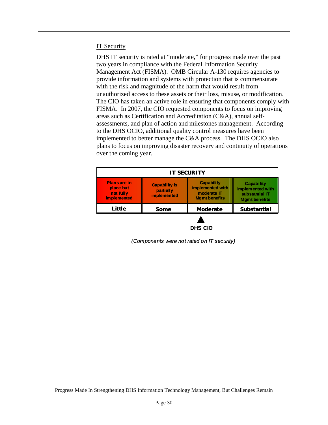#### IT Security

Management Act (FISMA). OMB Circular A-130 requires agencies to DHS IT security is rated at "moderate," for progress made over the past two years in compliance with the Federal Information Security provide information and systems with protection that is commensurate with the risk and magnitude of the harm that would result from unauthorized access to these assets or their loss, misuse**,** or modification. The CIO has taken an active role in ensuring that components comply with FISMA. In 2007, the CIO requested components to focus on improving areas such as Certification and Accreditation (C&A), annual selfassessments, and plan of action and milestones management. According to the DHS OCIO, additional quality control measures have been implemented to better manage the C&A process. The DHS OCIO also plans to focus on improving disaster recovery and continuity of operations over the coming year.

| <b>IT SECURITY</b>                                            |                                                         |                                                                              |                                                                                 |
|---------------------------------------------------------------|---------------------------------------------------------|------------------------------------------------------------------------------|---------------------------------------------------------------------------------|
| <b>Plans are in</b><br>place but<br>not fully<br>im plemented | <b>Capability is</b><br>partially<br><b>implemented</b> | <b>Capability</b><br>implemented with<br>moderate IT<br><b>Mamt benefits</b> | <b>Capability</b><br>implemented with<br>substantial IT<br><b>Mamt benefits</b> |
| Little                                                        | Some                                                    | <b>Moderate</b>                                                              | <b>Substantial</b>                                                              |
|                                                               |                                                         | <b>DHS CIO</b>                                                               |                                                                                 |

*(Components were not rated on IT security)*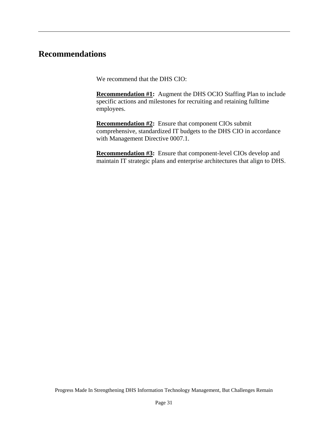#### **Recommendations**

We recommend that the DHS CIO:

**Recommendation #1:** Augment the DHS OCIO Staffing Plan to include specific actions and milestones for recruiting and retaining fulltime employees.

**Recommendation #2:** Ensure that component CIOs submit comprehensive, standardized IT budgets to the DHS CIO in accordance with Management Directive 0007.1.

**Recommendation #3:** Ensure that component-level CIOs develop and maintain IT strategic plans and enterprise architectures that align to DHS.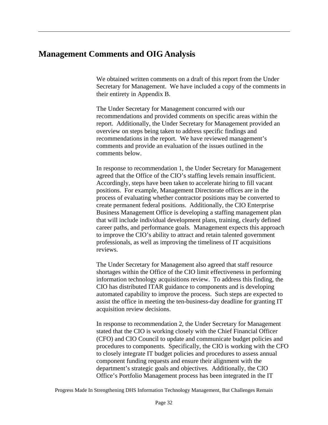#### <span id="page-35-0"></span>**Management Comments and OIG Analysis**

We obtained written comments on a draft of this report from the Under Secretary for Management. We have included a copy of the comments in their entirety in Appendix B.

The Under Secretary for Management concurred with our recommendations and provided comments on specific areas within the report. Additionally, the Under Secretary for Management provided an overview on steps being taken to address specific findings and recommendations in the report. We have reviewed management's comments and provide an evaluation of the issues outlined in the comments below.

In response to recommendation 1, the Under Secretary for Management agreed that the Office of the CIO's staffing levels remain insufficient. Accordingly, steps have been taken to accelerate hiring to fill vacant positions. For example, Management Directorate offices are in the process of evaluating whether contractor positions may be converted to create permanent federal positions. Additionally, the CIO Enterprise Business Management Office is developing a staffing management plan that will include individual development plans, training, clearly defined career paths, and performance goals. Management expects this approach to improve the CIO's ability to attract and retain talented government professionals, as well as improving the timeliness of IT acquisitions reviews.

The Under Secretary for Management also agreed that staff resource shortages within the Office of the CIO limit effectiveness in performing information technology acquisitions review. To address this finding, the CIO has distributed ITAR guidance to components and is developing automated capability to improve the process. Such steps are expected to assist the office in meeting the ten-business-day deadline for granting IT acquisition review decisions.

In response to recommendation 2, the Under Secretary for Management stated that the CIO is working closely with the Chief Financial Officer (CFO) and CIO Council to update and communicate budget policies and procedures to components. Specifically, the CIO is working with the CFO to closely integrate IT budget policies and procedures to assess annual component funding requests and ensure their alignment with the department's strategic goals and objectives. Additionally, the CIO Office's Portfolio Management process has been integrated in the IT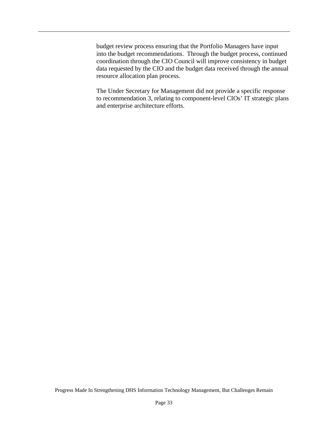budget review process ensuring that the Portfolio Managers have input into the budget recommendations. Through the budget process, continued coordination through the CIO Council will improve consistency in budget data requested by the CIO and the budget data received through the annual resource allocation plan process.

The Under Secretary for Management did not provide a specific response to recommendation 3, relating to component-level CIOs' IT strategic plans and enterprise architecture efforts.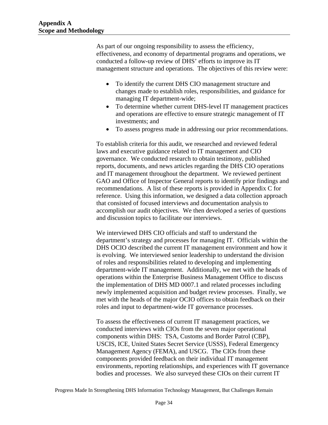As part of our ongoing responsibility to assess the efficiency, effectiveness, and economy of departmental programs and operations, we conducted a follow-up review of DHS' efforts to improve its IT management structure and operations. The objectives of this review were:

- To identify the current DHS CIO management structure and changes made to establish roles, responsibilities, and guidance for managing IT department-wide;
- To determine whether current DHS-level IT management practices and operations are effective to ensure strategic management of IT investments; and
- • To assess progress made in addressing our prior recommendations.

To establish criteria for this audit, we researched and reviewed federal laws and executive guidance related to IT management and CIO governance. We conducted research to obtain testimony, published reports, documents, and news articles regarding the DHS CIO operations and IT management throughout the department. We reviewed pertinent GAO and Office of Inspector General reports to identify prior findings and recommendations. A list of these reports is provided in Appendix C for reference. Using this information, we designed a data collection approach that consisted of focused interviews and documentation analysis to accomplish our audit objectives. We then developed a series of questions and discussion topics to facilitate our interviews.

We interviewed DHS CIO officials and staff to understand the department's strategy and processes for managing IT. Officials within the DHS OCIO described the current IT management environment and how it is evolving. We interviewed senior leadership to understand the division of roles and responsibilities related to developing and implementing department-wide IT management. Additionally, we met with the heads of operations within the Enterprise Business Management Office to discuss the implementation of DHS MD 0007.1 and related processes including newly implemented acquisition and budget review processes. Finally, we met with the heads of the major OCIO offices to obtain feedback on their roles and input to department-wide IT governance processes.

To assess the effectiveness of current IT management practices, we conducted interviews with CIOs from the seven major operational components within DHS: TSA, Customs and Border Patrol (CBP), USCIS, ICE, United States Secret Service (USSS), Federal Emergency Management Agency (FEMA), and USCG. The CIOs from these components provided feedback on their individual IT management environments, reporting relationships, and experiences with IT governance bodies and processes. We also surveyed these CIOs on their current IT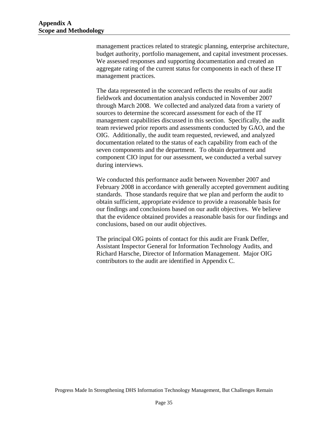management practices related to strategic planning, enterprise architecture, budget authority, portfolio management, and capital investment processes. We assessed responses and supporting documentation and created an aggregate rating of the current status for components in each of these IT management practices.

The data represented in the scorecard reflects the results of our audit fieldwork and documentation analysis conducted in November 2007 through March 2008. We collected and analyzed data from a variety of sources to determine the scorecard assessment for each of the IT management capabilities discussed in this section. Specifically, the audit team reviewed prior reports and assessments conducted by GAO, and the OIG. Additionally, the audit team requested, reviewed, and analyzed documentation related to the status of each capability from each of the seven components and the department. To obtain department and component CIO input for our assessment, we conducted a verbal survey during interviews.

We conducted this performance audit between November 2007 and February 2008 in accordance with generally accepted government auditing standards. Those standards require that we plan and perform the audit to obtain sufficient, appropriate evidence to provide a reasonable basis for our findings and conclusions based on our audit objectives. We believe that the evidence obtained provides a reasonable basis for our findings and conclusions, based on our audit objectives.

The principal OIG points of contact for this audit are Frank Deffer, Assistant Inspector General for Information Technology Audits, and Richard Harsche, Director of Information Management. Major OIG contributors to the audit are identified in Appendix C.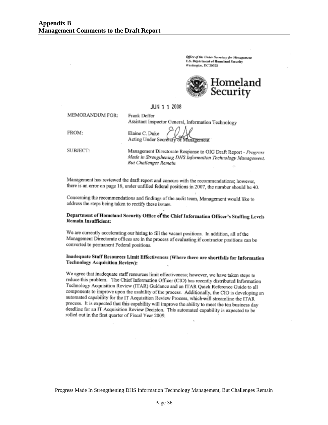Office of the Under Secretary for Menagement **U.S. Department of Homeland Security** Washington, DC 20528



#### JUN 1 1 2008

Frank Deffer

**MEMORANDUM FOR:** 

Assistant Inspector General, Information Technology

FROM:

Elaine C. Duke Acting Under Secretary of Management

SUBJECT:

Management Directorate Response to OIG Draft Report - Progress Made in Strengthening DHS Information Technology Management, **But Challenges Remain** 

Management has reviewed the draft report and concurs with the recommendations; however, there is an error on page 16, under unfilled federal positions in 2007, the number should be 40.

Concerning the recommendations and findings of the audit team, Management would like to address the steps being taken to rectify these issues.

#### Department of Homeland Security Office of the Chief Information Officer's Staffing Levels **Remain Insufficient:**

We are currently accelerating our hiring to fill the vacant positions. In addition, all of the Management Directorate offices are in the process of evaluating if contractor positions can be converted to permanent Federal positions.

#### Inadequate Staff Resources Limit Effectiveness (Where there are shortfalls for Information **Technology Acquisition Review):**

We agree that inadequate staff resources limit effectiveness; however, we have taken steps to reduce this problem. The Chief Information Officer (CIO) has recently distributed Information Technology Acquisition Review (ITAR) Guidance and an ITAR Quick Reference Guide to all components to improve upon the usability of the process. Additionally, the CIO is developing an automated capability for the IT Acquisition Review Process, which will streamline the ITAR process. It is expected that this capability will improve the ability to meet the ten business day deadline for an IT Acquisition Review Decision. This automated capability is expected to be rolled out in the first quarter of Fiscal Year 2009.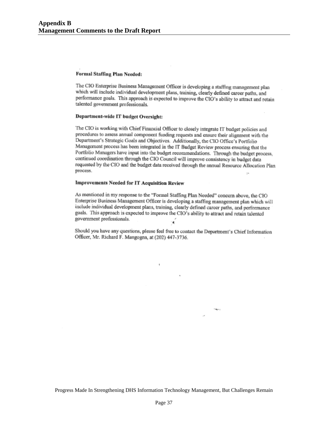#### Formal Staffing Plan Needed:

The CIO Enterprise Business Management Officer is developing a staffing management plan which will include individual development plans, training, clearly defined career paths, and performance goals. This approach is expected to improve the CIO's ability to attract and retain talented government professionals.

#### Department-wide IT budget Oversight:

The CIO is working with Chief Financial Officer to closely integrate IT budget policies and procedures to assess annual component funding requests and ensure their alignment with the Department's Strategic Goals and Objectives. Additionally, the CIO Office's Portfolio Management process has been integrated in the IT Budget Review process ensuring that the Portfolio Managers have input into the budget recommendations. Through the budget process, continued coordination through the CIO Council will improve consistency in budget data requested by the CIO and the budget data received through the annual Resource Allocation Plan process.

#### **Improvements Needed for IT Acquisition Review**

As mentioned in my response to the "Formal Staffing Plan Needed" concern above, the CIO Enterprise Business Management Officer is developing a staffing management plan which will include individual development plans, training, clearly defined career paths, and performance goals. This approach is expected to improve the CIO's ability to attract and retain talented government professionals. ٠é

Should you have any questions, please feel free to contact the Department's Chief Information Officer, Mr. Richard F. Mangogna, at (202) 447-3736.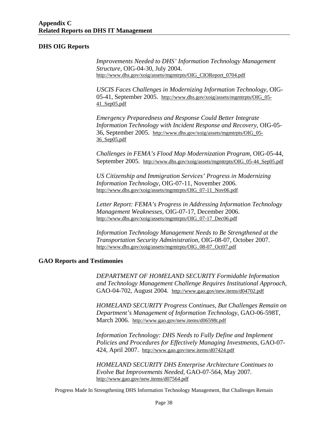#### **DHS OIG Reports**

*Improvements Needed to DHS' Information Technology Management Structure*, OIG-04-30, July 2004. http://www.dhs.gov/xoig/assets/mgmtrpts/OIG\_CIOReport\_0704.pdf

*USCIS Faces Challenges in Modernizing Information Technology*, OIG-05-41, September 2005. http://www.dhs.gov/xoig/assets/mgmtrpts/OIG\_05- 41\_Sep05.pdf

*Emergency Preparedness and Response Could Better Integrate Information Technology with Incident Response and Recovery*, OIG-05- 36, September 2005. http://www.dhs.gov/xoig/assets/mgmtrpts/OIG\_05- 36\_Sep05.pdf

*Challenges in FEMA's Flood Map Modernization Program*, OIG-05-44, September 2005. http://www.dhs.gov/xoig/assets/mgmtrpts/OIG\_05-44\_Sep05.pdf

*US Citizenship and Immigration Services' Progress in Modernizing Information Technology*, OIG-07-11, November 2006. http://www.dhs.gov/xoig/assets/mgmtrpts/OIG\_07-11\_Nov06.pdf

*Letter Report: FEMA's Progress in Addressing Information Technology Management Weaknesses*, OIG-07-17, December 2006. http://www.dhs.gov/xoig/assets/mgmtrpts/OIG\_07-17\_Dec06.pdf

*Information Technology Management Needs to Be Strengthened at the Transportation Security Administration*, OIG-08-07, October 2007. http://www.dhs.gov/xoig/assets/mgmtrpts/OIG\_08-07\_Oct07.pdf

#### **GAO Reports and Testimonies**

*DEPARTMENT OF HOMELAND SECURITY Formidable Information and Technology Management Challenge Requires Institutional Approach*, GAO-04-702, August 2004. http://www.gao.gov/new.items/d04702.pdf

*HOMELAND SECURITY Progress Continues, But Challenges Remain on Department's Management of Information Technology*, GAO-06-598T, March 2006. http://www.gao.gov/new.items/d06598t.pdf

*Information Technology: DHS Needs to Fully Define and Implement Policies and Procedures for Effectively Managing Investments*, GAO-07- 424, April 2007. http://www.gao.gov/new.items/d07424.pdf

*HOMELAND SECURITY DHS Enterprise Architecture Continues to Evolve But Improvements Needed*, GAO-07-564, May 2007. http://www.gao.gov/new.items/d07564.pdf

Progress Made In Strengthening DHS Information Technology Management, But Challenges Remain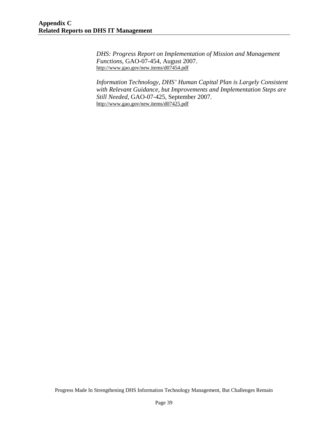*DHS: Progress Report on Implementation of Mission and Management Functions*, GAO-07-454, August 2007. http://www.gao.gov/new.items/d07454.pdf

*Information Technology, DHS' Human Capital Plan is Largely Consistent with Relevant Guidance, but Improvements and Implementation Steps are Still Needed*, GAO-07-425, September 2007. http://www.gao.gov/new.items/d07425.pdf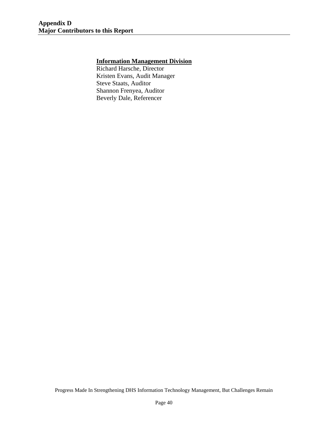#### <span id="page-43-0"></span>**Information Management Division**

Richard Harsche, Director Kristen Evans, Audit Manager Steve Staats, Auditor Shannon Frenyea, Auditor Beverly Dale, Referencer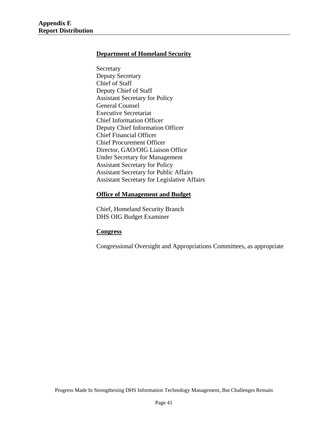#### <span id="page-44-0"></span>**Department of Homeland Security**

Secretary Deputy Secretary Chief of Staff Deputy Chief of Staff Assistant Secretary for Policy General Counsel Executive Secretariat Chief Information Officer Deputy Chief Information Officer Chief Financial Officer Chief Procurement Officer Director, GAO/OIG Liaison Office Under Secretary for Management Assistant Secretary for Policy Assistant Secretary for Public Affairs Assistant Secretary for Legislative Affairs

#### **Office of Management and Budget**

Chief, Homeland Security Branch DHS OIG Budget Examiner

#### **Congress**

Congressional Oversight and Appropriations Committees, as appropriate